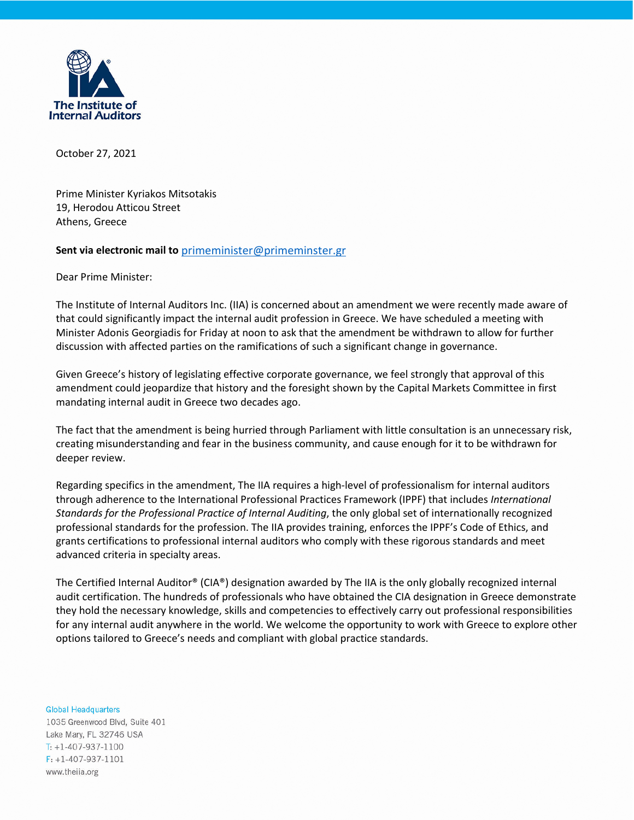

October 27, 2021

Prime Minister Kyriakos Mitsotakis 19, Herodou Atticou Street Athens, Greece

## **Sent via electronic mail to** [primeminister@primeminster.gr](mailto:primeminister@primeminster.gr)

Dear Prime Minister:

The Institute of Internal Auditors Inc. (IIA) is concerned about an amendment we were recently made aware of that could significantly impact the internal audit profession in Greece. We have scheduled a meeting with Minister Adonis Georgiadis for Friday at noon to ask that the amendment be withdrawn to allow for further discussion with affected parties on the ramifications of such a significant change in governance.

Given Greece's history of legislating effective corporate governance, we feel strongly that approval of this amendment could jeopardize that history and the foresight shown by the Capital Markets Committee in first mandating internal audit in Greece two decades ago.

The fact that the amendment is being hurried through Parliament with little consultation is an unnecessary risk, creating misunderstanding and fear in the business community, and cause enough for it to be withdrawn for deeper review.

Regarding specifics in the amendment, The IIA requires a high-level of professionalism for internal auditors through adherence to the International Professional Practices Framework (IPPF) that includes *International Standards for the Professional Practice of Internal Auditing*, the only global set of internationally recognized professional standards for the profession. The IIA provides training, enforces the IPPF's Code of Ethics, and grants certifications to professional internal auditors who comply with these rigorous standards and meet advanced criteria in specialty areas.

The Certified Internal Auditor® (CIA®) designation awarded by The IIA is the only globally recognized internal audit certification. The hundreds of professionals who have obtained the CIA designation in Greece demonstrate they hold the necessary knowledge, skills and competencies to effectively carry out professional responsibilities for any internal audit anywhere in the world. We welcome the opportunity to work with Greece to explore other options tailored to Greece's needs and compliant with global practice standards.

**Global Headquarters** 1035 Greenwood Blvd, Suite 401 Lake Mary, FL 32746 USA  $T: +1-407-937-1100$  $F: +1-407-937-1101$ www.theiia.org